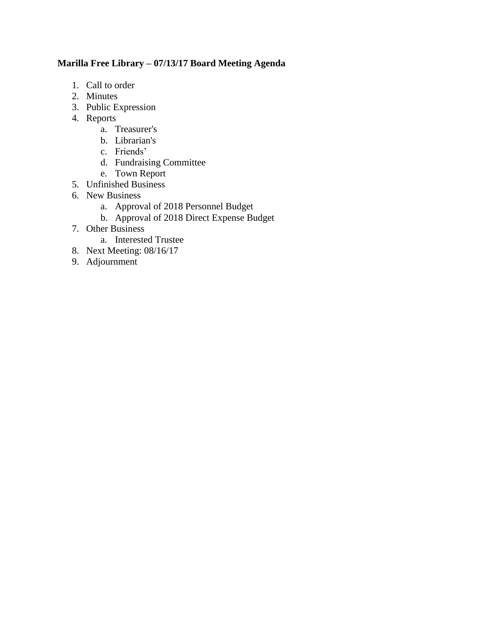## **Marilla Free Library – 07/13/17 Board Meeting Agenda**

- 1. Call to order
- 2. Minutes
- 3. Public Expression
- 4. Reports
	- a. Treasurer's
	- b. Librarian's
	- c. Friends'
	- d. Fundraising Committee
	- e. Town Report
- 5. Unfinished Business
- 6. New Business
	- a. Approval of 2018 Personnel Budget
	- b. Approval of 2018 Direct Expense Budget
- 7. Other Business
	- a. Interested Trustee
- 8. Next Meeting: 08/16/17
- 9. Adjournment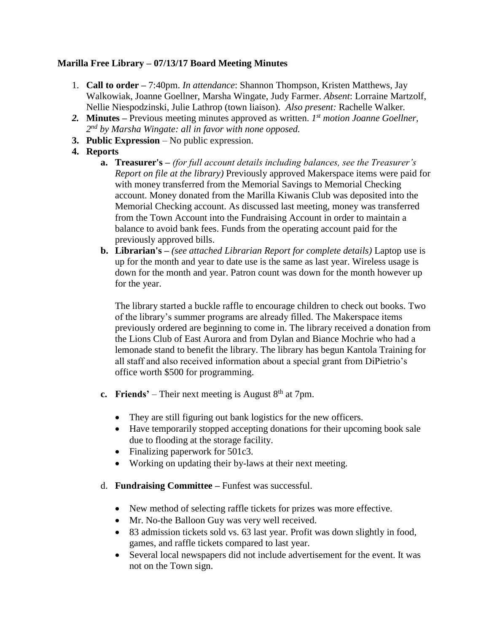## **Marilla Free Library – 07/13/17 Board Meeting Minutes**

- 1. **Call to order –** 7:40pm. *In attendance*: Shannon Thompson, Kristen Matthews, Jay Walkowiak, Joanne Goellner, Marsha Wingate, Judy Farmer. *Absent*: Lorraine Martzolf, Nellie Niespodzinski, Julie Lathrop (town liaison). *Also present:* Rachelle Walker.
- *2.* **Minutes –** Previous meeting minutes approved as written. *1 st motion Joanne Goellner, 2 nd by Marsha Wingate: all in favor with none opposed.*
- **3. Public Expression** No public expression.
- **4. Reports**
	- **a. Treasurer's –** *(for full account details including balances, see the Treasurer's Report on file at the library)* Previously approved Makerspace items were paid for with money transferred from the Memorial Savings to Memorial Checking account. Money donated from the Marilla Kiwanis Club was deposited into the Memorial Checking account. As discussed last meeting, money was transferred from the Town Account into the Fundraising Account in order to maintain a balance to avoid bank fees. Funds from the operating account paid for the previously approved bills.
	- **b. Librarian's –** *(see attached Librarian Report for complete details)* Laptop use is up for the month and year to date use is the same as last year. Wireless usage is down for the month and year. Patron count was down for the month however up for the year.

The library started a buckle raffle to encourage children to check out books. Two of the library's summer programs are already filled. The Makerspace items previously ordered are beginning to come in. The library received a donation from the Lions Club of East Aurora and from Dylan and Biance Mochrie who had a lemonade stand to benefit the library. The library has begun Kantola Training for all staff and also received information about a special grant from DiPietrio's office worth \$500 for programming.

- **c. Friends'** Their next meeting is August  $8<sup>th</sup>$  at 7pm.
	- They are still figuring out bank logistics for the new officers.
	- Have temporarily stopped accepting donations for their upcoming book sale due to flooding at the storage facility.
	- Finalizing paperwork for 501c3.
	- Working on updating their by-laws at their next meeting.
- d. **Fundraising Committee –** Funfest was successful.
	- New method of selecting raffle tickets for prizes was more effective.
	- Mr. No-the Balloon Guy was very well received.
	- 83 admission tickets sold vs. 63 last year. Profit was down slightly in food, games, and raffle tickets compared to last year.
	- Several local newspapers did not include advertisement for the event. It was not on the Town sign.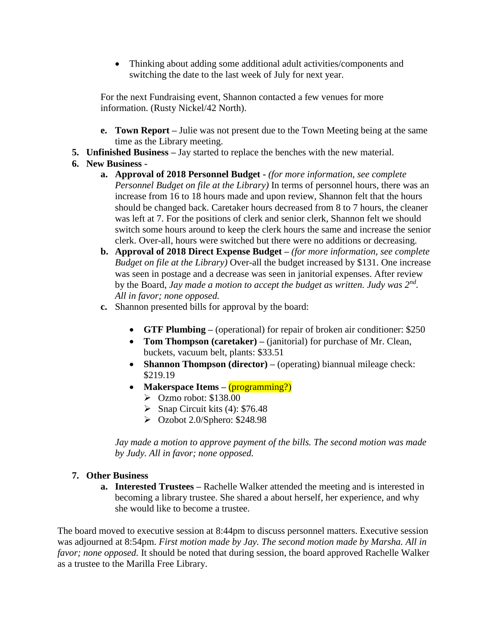Thinking about adding some additional adult activities/components and switching the date to the last week of July for next year.

For the next Fundraising event, Shannon contacted a few venues for more information. (Rusty Nickel/42 North).

- **e. Town Report –** Julie was not present due to the Town Meeting being at the same time as the Library meeting.
- **5. Unfinished Business –** Jay started to replace the benches with the new material.

## **6. New Business -**

- **a. Approval of 2018 Personnel Budget -** *(for more information, see complete Personnel Budget on file at the Library)* In terms of personnel hours, there was an increase from 16 to 18 hours made and upon review, Shannon felt that the hours should be changed back. Caretaker hours decreased from 8 to 7 hours, the cleaner was left at 7. For the positions of clerk and senior clerk, Shannon felt we should switch some hours around to keep the clerk hours the same and increase the senior clerk. Over-all, hours were switched but there were no additions or decreasing.
- **b. Approval of 2018 Direct Expense Budget –** *(for more information, see complete Budget on file at the Library)* Over-all the budget increased by \$131. One increase was seen in postage and a decrease was seen in janitorial expenses. After review by the Board, *Jay made a motion to accept the budget as written. Judy was 2nd . All in favor; none opposed.*
- **c.** Shannon presented bills for approval by the board:
	- **GTF Plumbing –** (operational) for repair of broken air conditioner: \$250
	- **Tom Thompson (caretaker)** (janitorial) for purchase of Mr. Clean, buckets, vacuum belt, plants: \$33.51
	- **Shannon Thompson (director)** (operating) biannual mileage check: \$219.19
	- Makerspace Items (programming?)
		- $\triangleright$  Ozmo robot: \$138.00
		- $\triangleright$  Snap Circuit kits (4): \$76.48
		- $\geq$  Ozobot 2.0/Sphero: \$248.98

*Jay made a motion to approve payment of the bills. The second motion was made by Judy. All in favor; none opposed.* 

## **7. Other Business**

**a. Interested Trustees –** Rachelle Walker attended the meeting and is interested in becoming a library trustee. She shared a about herself, her experience, and why she would like to become a trustee.

The board moved to executive session at 8:44pm to discuss personnel matters. Executive session was adjourned at 8:54pm. *First motion made by Jay. The second motion made by Marsha. All in favor; none opposed.* It should be noted that during session, the board approved Rachelle Walker as a trustee to the Marilla Free Library.